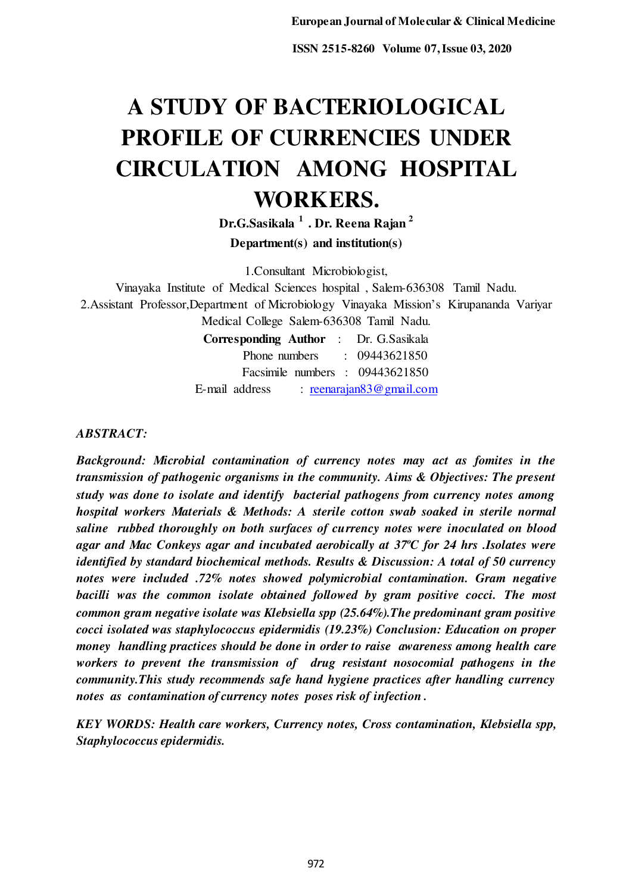# **A STUDY OF BACTERIOLOGICAL PROFILE OF CURRENCIES UNDER CIRCULATION AMONG HOSPITAL WORKERS.**

**Dr.G.Sasikala <sup>1</sup>. Dr. Reena Rajan <sup>2</sup> Department(s) and institution(s)** 

1.Consultant Microbiologist,

Vinayaka Institute of Medical Sciences hospital , Salem-636308 Tamil Nadu. 2.Assistant Professor,Department of Microbiology Vinayaka Mission's Kirupananda Variyar Medical College Salem-636308 Tamil Nadu. **Corresponding Author** : Dr. G.Sasikala Phone numbers : 09443621850

Facsimile numbers : 09443621850 E-mail address : [reenarajan83@gmail.com](mailto:reenarajan83@gmail.com)

*ABSTRACT:* 

*Background: Microbial contamination of currency notes may act as fomites in the transmission of pathogenic organisms in the community. Aims & Objectives: The present study was done to isolate and identify bacterial pathogens from currency notes among hospital workers Materials & Methods: A sterile cotton swab soaked in sterile normal saline rubbed thoroughly on both surfaces of currency notes were inoculated on blood agar and Mac Conkeys agar and incubated aerobically at 37ºC for 24 hrs .Isolates were identified by standard biochemical methods. Results & Discussion: A total of 50 currency notes were included .72% notes showed polymicrobial contamination. Gram negative*  bacilli was the common isolate obtained followed by gram positive cocci. The most *common gram negative isolate was Klebsiella spp (25.64%).The predominant gram positive cocci isolated was staphylococcus epidermidis (19.23%) Conclusion: Education on proper money handling practices should be done in order to raise awareness among health care workers to prevent the transmission of drug resistant nosocomial pathogens in the community.This study recommends safe hand hygiene practices after handling currency notes as contamination of currency notes poses risk of infection .* 

*KEY WORDS: Health care workers, Currency notes, Cross contamination, Klebsiella spp, Staphylococcus epidermidis.*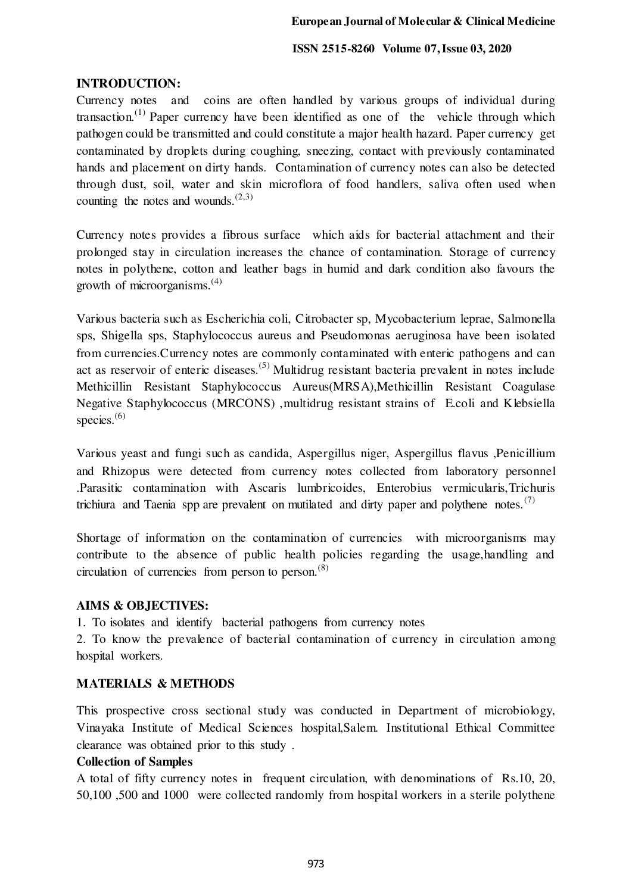# **INTRODUCTION:**

Currency notes and coins are often handled by various groups of individual during transaction.<sup>(1)</sup> Paper currency have been identified as one of the vehicle through which pathogen could be transmitted and could constitute a major health hazard. Paper currency get contaminated by droplets during coughing, sneezing, contact with previously contaminated hands and placement on dirty hands. Contamination of currency notes can also be detected through dust, soil, water and skin microflora of food handlers, saliva often used when counting the notes and wounds. $(2,3)$ 

Currency notes provides a fibrous surface which aids for bacterial attachment and their prolonged stay in circulation increases the chance of contamination. Storage of currency notes in polythene, cotton and leather bags in humid and dark condition also favours the growth of microorganisms. $(4)$ 

Various bacteria such as Escherichia coli, Citrobacter sp, Mycobacterium leprae, Salmonella sps, Shigella sps, Staphylococcus aureus and Pseudomonas aeruginosa have been isolated from currencies.Currency notes are commonly contaminated with enteric pathogens and can act as reservoir of enteric diseases.<sup>(5)</sup> Multidrug resistant bacteria prevalent in notes include Methicillin Resistant Staphylococcus Aureus(MRSA),Methicillin Resistant Coagulase Negative Staphylococcus (MRCONS) ,multidrug resistant strains of E.coli and Klebsiella species. $(6)$ 

Various yeast and fungi such as candida, Aspergillus niger, Aspergillus flavus ,Penicillium and Rhizopus were detected from currency notes collected from laboratory personnel .Parasitic contamination with Ascaris lumbricoides, Enterobius vermicularis,Trichuris trichiura and Taenia spp are prevalent on mutilated and dirty paper and polythene notes.<sup>(7)</sup>

Shortage of information on the contamination of currencies with microorganisms may contribute to the absence of public health policies regarding the usage,handling and circulation of currencies from person to person. $(8)$ 

# **AIMS & OBJECTIVES:**

1. To isolates and identify bacterial pathogens from currency notes

2. To know the prevalence of bacterial contamination of currency in circulation among hospital workers.

# **MATERIALS & METHODS**

This prospective cross sectional study was conducted in Department of microbiology, Vinayaka Institute of Medical Sciences hospital,Salem. Institutional Ethical Committee clearance was obtained prior to this study .

# **Collection of Samples**

A total of fifty currency notes in frequent circulation, with denominations of Rs.10, 20, 50,100 ,500 and 1000 were collected randomly from hospital workers in a sterile polythene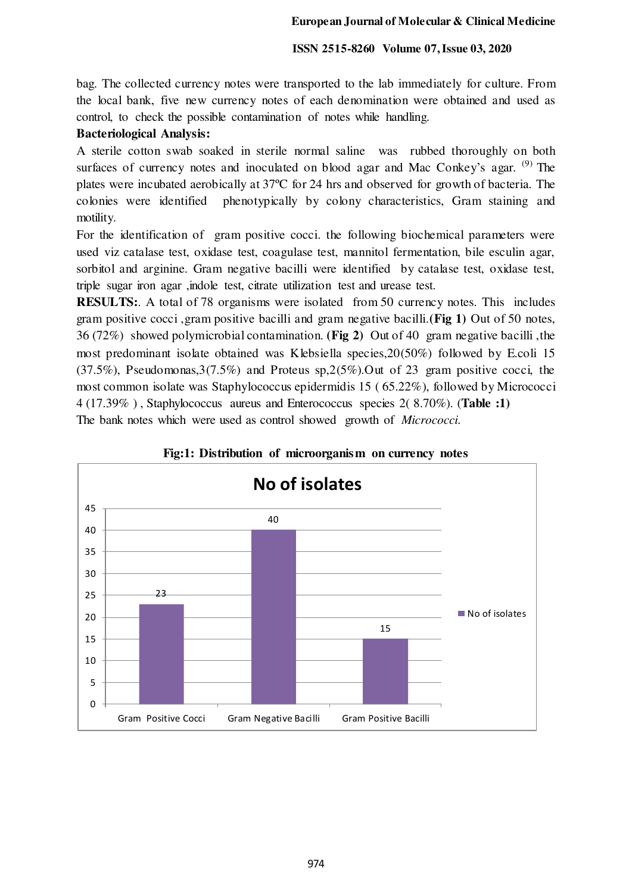bag. The collected currency notes were transported to the lab immediately for culture. From the local bank, five new currency notes of each denomination were obtained and used as control, to check the possible contamination of notes while handling.

#### **Bacteriological Analysis:**

A sterile cotton swab soaked in sterile normal saline was rubbed thoroughly on both surfaces of currency notes and inoculated on blood agar and Mac Conkey's agar.  $(9)$  The plates were incubated aerobically at 37ºC for 24 hrs and observed for growth of bacteria. The colonies were identified phenotypically by colony characteristics, Gram staining and motility.

For the identification of gram positive cocci. the following biochemical parameters were used viz catalase test, oxidase test, coagulase test, mannitol fermentation, bile esculin agar, sorbitol and arginine. Gram negative bacilli were identified by catalase test, oxidase test, triple sugar iron agar ,indole test, citrate utilization test and urease test.

**RESULTS:**. A total of 78 organisms were isolated from 50 currency notes. This includes gram positive cocci ,gram positive bacilli and gram negative bacilli.**(Fig 1)** Out of 50 notes, 36 (72%) showed polymicrobial contamination. **(Fig 2)** Out of 40 gram negative bacilli ,the most predominant isolate obtained was Klebsiella species,20(50%) followed by E.coli 15 (37.5%), Pseudomonas,3(7.5%) and Proteus sp,2(5%).Out of 23 gram positive cocci, the most common isolate was Staphylococcus epidermidis 15 ( 65.22%), followed by Micrococci 4 (17.39% ) , Staphylococcus aureus and Enterococcus species 2( 8.70%). (**Table :1)** The bank notes which were used as control showed growth of *Micrococci.* 



#### **Fig:1: Distribution of microorganism on currency notes**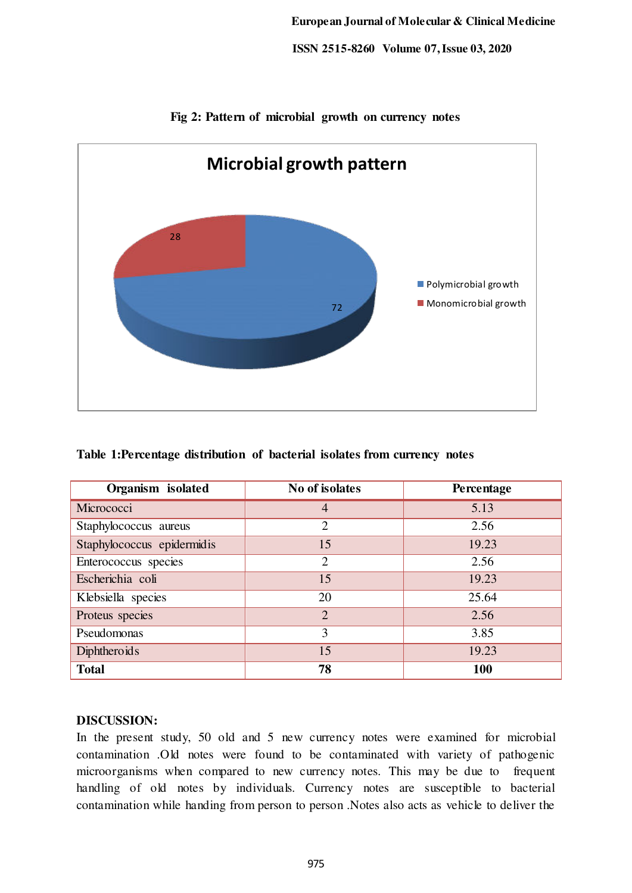

**Fig 2: Pattern of microbial growth on currency notes** 

# **Table 1:Percentage distribution of bacterial isolates from currency notes**

| Organism isolated          | No of isolates | Percentage |
|----------------------------|----------------|------------|
| Micrococci                 | 4              | 5.13       |
| Staphylococcus aureus      | $\overline{2}$ | 2.56       |
| Staphylococcus epidermidis | 15             | 19.23      |
| Enterococcus species       | $\overline{2}$ | 2.56       |
| Escherichia coli           | 15             | 19.23      |
| Klebsiella species         | 20             | 25.64      |
| Proteus species            | $\overline{2}$ | 2.56       |
| Pseudomonas                | 3              | 3.85       |
| <b>Diphtheroids</b>        | 15             | 19.23      |
| <b>Total</b>               | 78             | 100        |

#### **DISCUSSION:**

In the present study, 50 old and 5 new currency notes were examined for microbial contamination .Old notes were found to be contaminated with variety of pathogenic microorganisms when compared to new currency notes. This may be due to frequent handling of old notes by individuals. Currency notes are susceptible to bacterial contamination while handing from person to person .Notes also acts as vehicle to deliver the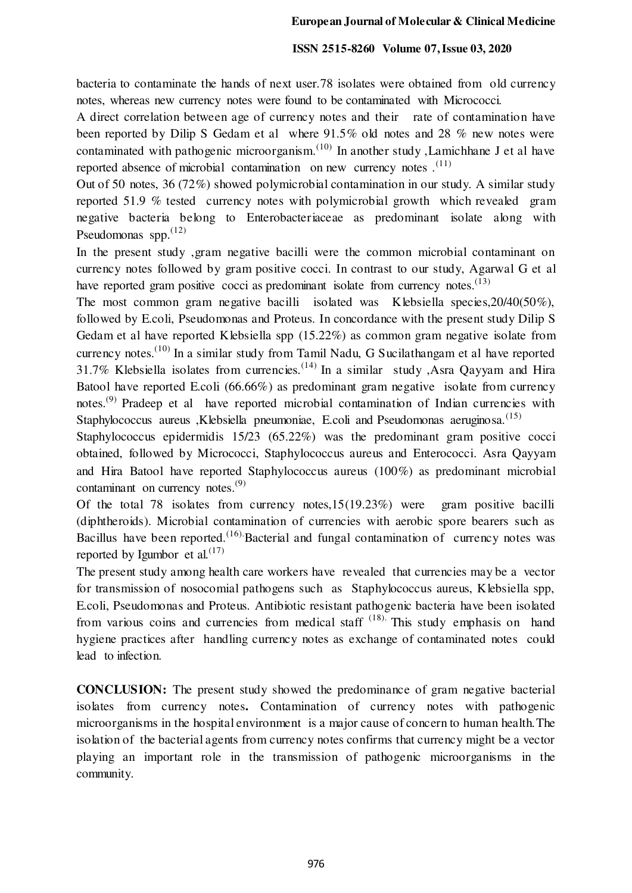bacteria to contaminate the hands of next user.78 isolates were obtained from old currency notes, whereas new currency notes were found to be contaminated with Micrococci.

A direct correlation between age of currency notes and their rate of contamination have been reported by Dilip S Gedam et al where 91.5% old notes and 28 % new notes were contaminated with pathogenic microorganism.<sup>(10)</sup> In another study , Lamichhane J et al have reported absence of microbial contamination on new currency notes  $(11)$ 

Out of 50 notes, 36 (72%) showed polymicrobial contamination in our study. A similar study reported 51.9 % tested currency notes with polymicrobial growth which revealed gram negative bacteria belong to Enterobacteriaceae as predominant isolate along with Pseudomonas spp. $^{(12)}$ 

In the present study ,gram negative bacilli were the common microbial contaminant on currency notes followed by gram positive cocci. In contrast to our study, Agarwal G et al have reported gram positive cocci as predominant isolate from currency notes. $^{(13)}$ 

The most common gram negative bacilli isolated was Klebsiella species,20/40(50%), followed by E.coli, Pseudomonas and Proteus. In concordance with the present study Dilip S Gedam et al have reported Klebsiella spp (15.22%) as common gram negative isolate from currency notes.<sup> $(10)$ </sup> In a similar study from Tamil Nadu, G Sucilathangam et al have reported 31.7% Klebsiella isolates from currencies.<sup>(14)</sup> In a similar study ,Asra Oayyam and Hira Batool have reported E.coli (66.66%) as predominant gram negative isolate from currency notes.<sup>(9)</sup> Pradeep et al have reported microbial contamination of Indian currencies with Staphylococcus aureus ,Klebsiella pneumoniae, E.coli and Pseudomonas aeruginosa.<sup>(15)</sup>

Staphylococcus epidermidis 15/23 (65.22%) was the predominant gram positive cocci obtained, followed by Micrococci, Staphylococcus aureus and Enterococci. Asra Qayyam and Hira Batool have reported Staphylococcus aureus (100%) as predominant microbial contaminant on currency notes.<sup>(9)</sup>

Of the total 78 isolates from currency notes,15(19.23%) were gram positive bacilli (diphtheroids). Microbial contamination of currencies with aerobic spore bearers such as Bacillus have been reported.<sup> $(16)$ </sup> Bacterial and fungal contamination of currency notes was reported by Igumbor et al.  $(17)$ 

The present study among health care workers have revealed that currencies may be a vector for transmission of nosocomial pathogens such as Staphylococcus aureus, Klebsiella spp, E.coli, Pseudomonas and Proteus. Antibiotic resistant pathogenic bacteria have been isolated from various coins and currencies from medical staff  $(18)$ . This study emphasis on hand hygiene practices after handling currency notes as exchange of contaminated notes could lead to infection.

**CONCLUSION:** The present study showed the predominance of gram negative bacterial isolates from currency notes**.** Contamination of currency notes with pathogenic microorganisms in the hospital environment is a major cause of concern to human health.The isolation of the bacterial agents from currency notes confirms that currency might be a vector playing an important role in the transmission of pathogenic microorganisms in the community.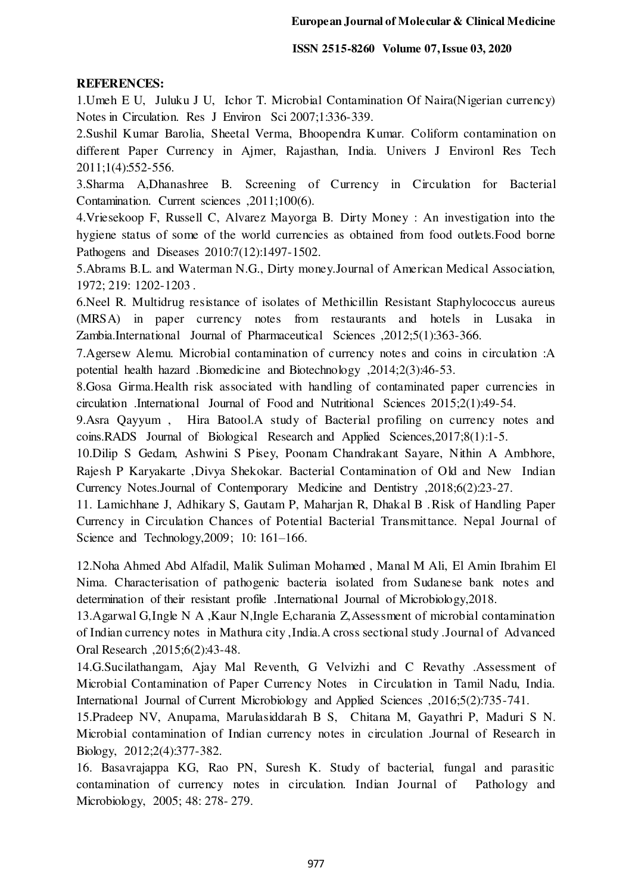# **REFERENCES:**

1.Umeh E U, Juluku J U, Ichor T. Microbial Contamination Of Naira(Nigerian currency) Notes in Circulation. Res J Environ Sci 2007;1:336-339.

2.Sushil Kumar Barolia, Sheetal Verma, Bhoopendra Kumar. Coliform contamination on different Paper Currency in Ajmer, Rajasthan, India. Univers J Environl Res Tech 2011;1(4):552-556.

3.Sharma A,Dhanashree B. Screening of Currency in Circulation for Bacterial Contamination. Current sciences ,2011;100(6).

4.Vriesekoop F, Russell C, Alvarez Mayorga B. Dirty Money : An investigation into the hygiene status of some of the world currencies as obtained from food outlets.Food borne Pathogens and Diseases 2010:7(12):1497-1502.

5.Abrams B.L. and Waterman N.G., Dirty money.Journal of American Medical Association, 1972; 219: 1202-1203 .

6.Neel R. Multidrug resistance of isolates of Methicillin Resistant Staphylococcus aureus (MRSA) in paper currency notes from restaurants and hotels in Lusaka in Zambia.International Journal of Pharmaceutical Sciences ,2012;5(1):363-366.

7.Agersew Alemu. Microbial contamination of currency notes and coins in circulation :A potential health hazard .Biomedicine and Biotechnology ,2014;2(3):46-53.

8.Gosa Girma.Health risk associated with handling of contaminated paper currencies in circulation .International Journal of Food and Nutritional Sciences 2015;2(1):49-54.

9.Asra Qayyum , Hira Batool.A study of Bacterial profiling on currency notes and coins.RADS Journal of Biological Research and Applied Sciences,2017;8(1):1-5.

10.Dilip S Gedam, Ashwini S Pisey, Poonam Chandrakant Sayare, Nithin A Ambhore, Rajesh P Karyakarte ,Divya Shekokar. Bacterial Contamination of Old and New Indian Currency Notes.Journal of Contemporary Medicine and Dentistry ,2018;6(2):23-27.

11. Lamichhane J, Adhikary S, Gautam P, Maharjan R, Dhakal B .Risk of Handling Paper Currency in Circulation Chances of Potential Bacterial Transmittance. Nepal Journal of Science and Technology,2009; 10: 161–166.

12.Noha Ahmed Abd Alfadil, Malik Suliman Mohamed , Manal M Ali, El Amin Ibrahim El Nima. Characterisation of pathogenic bacteria isolated from Sudanese bank notes and determination of their resistant profile .International Journal of Microbiology,2018.

13.Agarwal G,Ingle N A ,Kaur N,Ingle E,charania Z,Assessment of microbial contamination of Indian currency notes in Mathura city ,India.A cross sectional study .Journal of Advanced Oral Research ,2015;6(2):43-48.

14.G.Sucilathangam, Ajay Mal Reventh, G Velvizhi and C Revathy .Assessment of Microbial Contamination of Paper Currency Notes in Circulation in Tamil Nadu, India. International Journal of Current Microbiology and Applied Sciences ,2016;5(2):735-741.

15.Pradeep NV, Anupama, Marulasiddarah B S, Chitana M, Gayathri P, Maduri S N. Microbial contamination of Indian currency notes in circulation .Journal of Research in Biology, 2012;2(4):377-382.

16. Basavrajappa KG, Rao PN, Suresh K. Study of bacterial, fungal and parasitic contamination of currency notes in circulation. Indian Journal of Pathology and Microbiology, 2005; 48: 278- 279.